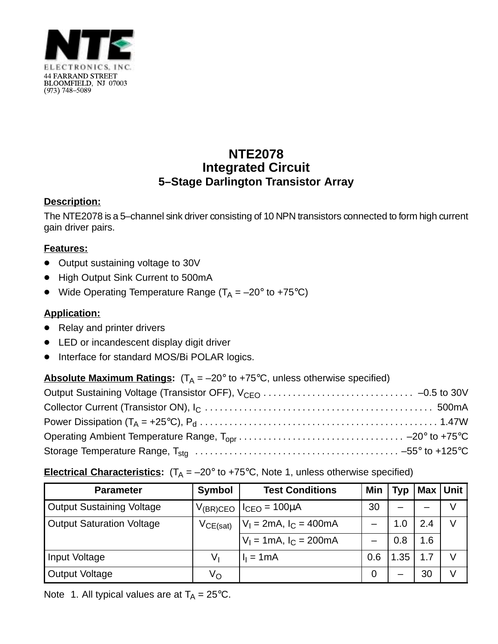

# **NTE2078 Integrated Circuit 5–Stage Darlington Transistor Array**

## **Description:**

The NTE2078 is a 5–channel sink driver consisting of 10 NPN transistors connected to form high current gain driver pairs.

# **Features:**

- $\bullet$ Output sustaining voltage to 30V
- High Output Sink Current to 500mA
- $\bullet$ Wide Operating Temperature Range ( $T_A = -20^\circ$  to +75°C)

# **Application:**

- Relay and printer drivers
- LED or incandescent display digit driver
- $\bullet$ Interface for standard MOS/Bi POLAR logics.

## **Absolute Maximum Ratings:**  $(T_A = -20^\circ \text{ to } +75^\circ \text{C}$ , unless otherwise specified)

## **Electrical Characteristics:**  $(T_A = -20^\circ \text{ to } +75^\circ \text{C}$ , Note 1, unless otherwise specified)

| <b>Parameter</b>                 | <b>Symbol</b> | <b>Test Conditions</b>                   | Min | Typ |     | Max Unit |
|----------------------------------|---------------|------------------------------------------|-----|-----|-----|----------|
| <b>Output Sustaining Voltage</b> | $V_{(BR)CEO}$ | $I_{CEO} = 100 \mu A$                    | 30  |     |     |          |
| <b>Output Saturation Voltage</b> | VCE(sat)      | $V_1 = 2mA$ , $I_C = 400mA$              |     | ۵.۱ | 2.4 |          |
|                                  |               | $V_1 = 1 \text{mA}, I_C = 200 \text{mA}$ |     | 0.8 | .6  |          |
| Input Voltage                    | Vı            | $I1 = 1mA$                               | 0.6 | .35 |     |          |
| <b>Output Voltage</b>            | Vο            |                                          | 0   |     | 30  |          |

Note 1. All typical values are at  $T_A = 25^{\circ}C$ .